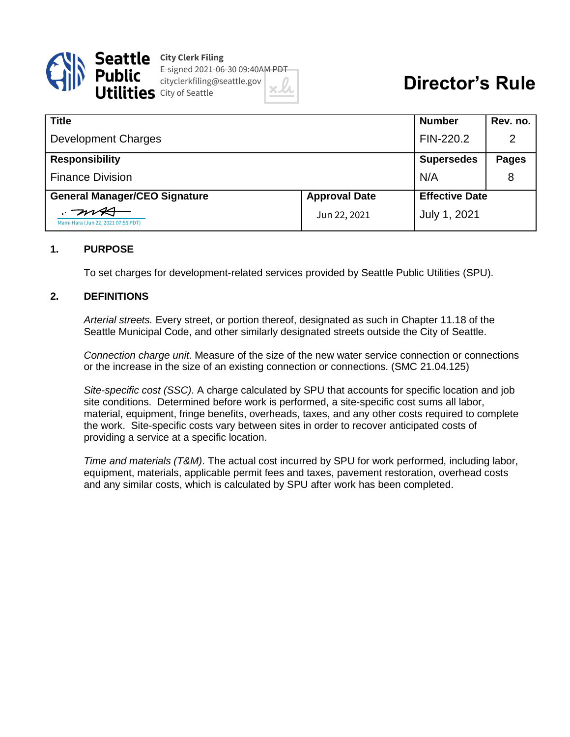

**Seattle** City Clerk Filing E-signed 2021-06-30 09:40AM PDT cityclerkfiling@seattle.gov  $\mathbf{1} \mathbf{e}$ S City of Seattle



| <b>Title</b>                         |                      | <b>Number</b>         | Rev. no.     |
|--------------------------------------|----------------------|-----------------------|--------------|
| <b>Development Charges</b>           |                      | FIN-220.2             | 2            |
| <b>Responsibility</b>                |                      | <b>Supersedes</b>     | <b>Pages</b> |
| <b>Finance Division</b>              |                      | N/A                   | 8            |
| <b>General Manager/CEO Signature</b> | <b>Approval Date</b> | <b>Effective Date</b> |              |
| Mami Hara (Jun 22, 2021 07:55 PDT)   | Jun 22, 2021         | July 1, 2021          |              |

#### **1. PURPOSE**

To set charges for development-related services provided by Seattle Public Utilities (SPU).

#### **2. DEFINITIONS**

*Arterial streets.* Every street, or portion thereof, designated as such in Chapter 11.18 of the Seattle Municipal Code, and other similarly designated streets outside the City of Seattle.

*Connection charge unit*. Measure of the size of the new water service connection or connections or the increase in the size of an existing connection or connections. (SMC 21.04.125)

*Site-specific cost (SSC)*. A charge calculated by SPU that accounts for specific location and job site conditions. Determined before work is performed, a site-specific cost sums all labor, material, equipment, fringe benefits, overheads, taxes, and any other costs required to complete the work. Site-specific costs vary between sites in order to recover anticipated costs of providing a service at a specific location.

*Time and materials (T&M)*. The actual cost incurred by SPU for work performed, including labor, equipment, materials, applicable permit fees and taxes, pavement restoration, overhead costs and any similar costs, which is calculated by SPU after work has been completed.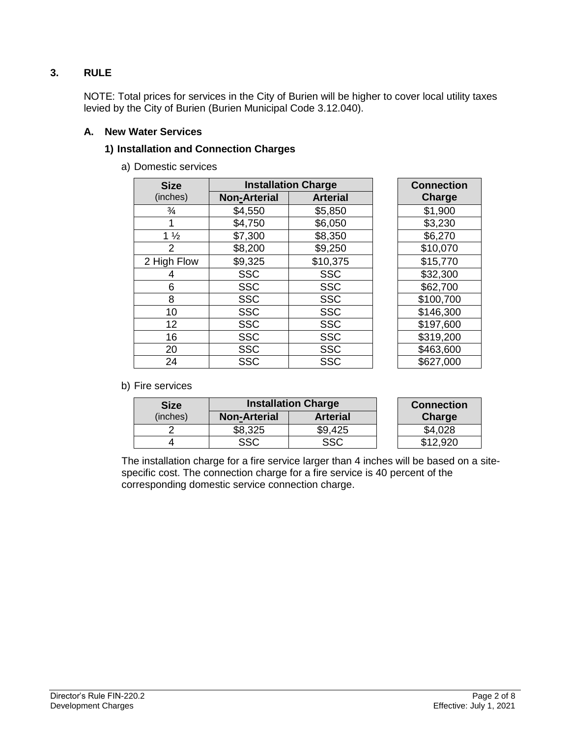# **3. RULE**

NOTE: Total prices for services in the City of Burien will be higher to cover local utility taxes levied by the City of Burien (Burien Municipal Code 3.12.040).

### **A. New Water Services**

## **1) Installation and Connection Charges**

a) Domestic services

| <b>Size</b>    | <b>Installation Charge</b> |                 | <b>Connection</b> |
|----------------|----------------------------|-----------------|-------------------|
| (inches)       | <b>Non-Arterial</b>        | <b>Arterial</b> | Charge            |
| $\frac{3}{4}$  | \$4,550                    | \$5,850         | \$1,900           |
|                | \$4,750                    | \$6,050         | \$3,230           |
| $1\frac{1}{2}$ | \$7,300                    | \$8,350         | \$6,270           |
| 2              | \$8,200                    | \$9,250         | \$10,070          |
| 2 High Flow    | \$9,325                    | \$10,375        | \$15,770          |
| 4              | <b>SSC</b>                 | <b>SSC</b>      | \$32,300          |
| 6              | <b>SSC</b>                 | <b>SSC</b>      | \$62,700          |
| 8              | <b>SSC</b>                 | <b>SSC</b>      | \$100,700         |
| 10             | <b>SSC</b>                 | <b>SSC</b>      | \$146,300         |
| 12             | <b>SSC</b>                 | <b>SSC</b>      | \$197,600         |
| 16             | <b>SSC</b>                 | <b>SSC</b>      | \$319,200         |
| 20             | <b>SSC</b>                 | <b>SSC</b>      | \$463,600         |
| 24             | <b>SSC</b>                 | <b>SSC</b>      | \$627,000         |

| <b>Connection</b> |
|-------------------|
| Charge            |
| \$1,900           |
| \$3,230           |
| \$6,270           |
| \$10,070          |
| \$15,770          |
| \$32,300          |
| \$62,700          |
| \$100,700         |
| \$146,300         |
| \$197,600         |
| \$319,200         |
| \$463,600         |
| \$627,000         |

### b) Fire services

| <b>Size</b> | <b>Installation Charge</b> |                 | <b>Connection</b> |
|-------------|----------------------------|-----------------|-------------------|
| (inches)    | <b>Non-Arterial</b>        | <b>Arterial</b> | Charge            |
|             | \$8,325                    | \$9,425         |                   |
|             | SSC                        | SSC             |                   |

The installation charge for a fire service larger than 4 inches will be based on a sitespecific cost. The connection charge for a fire service is 40 percent of the corresponding domestic service connection charge.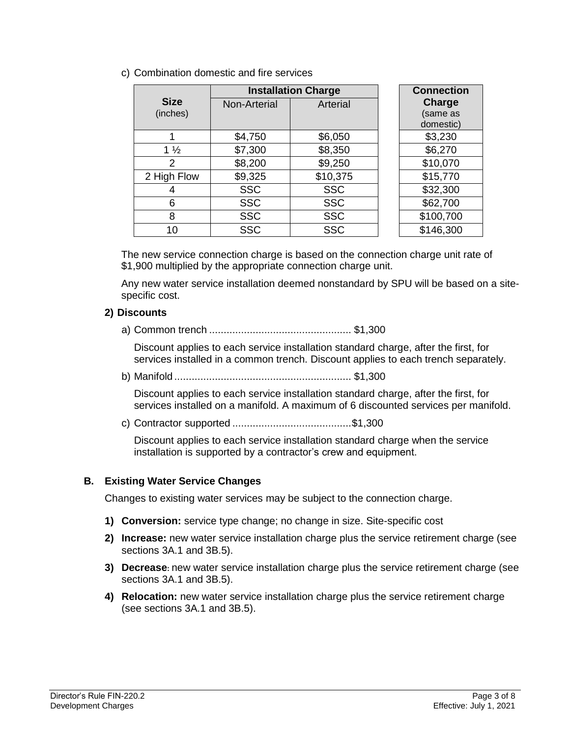c) Combination domestic and fire services

|                | <b>Installation Charge</b> | <b>Connection</b> |           |
|----------------|----------------------------|-------------------|-----------|
| <b>Size</b>    | Non-Arterial               | Arterial          | Charge    |
| (inches)       |                            |                   | (same as  |
|                |                            |                   | domestic) |
|                | \$4,750                    | \$6,050           | \$3,230   |
| $1\frac{1}{2}$ | \$7,300                    | \$8,350           | \$6,270   |
| 2              | \$8,200                    | \$9,250           | \$10,070  |
| 2 High Flow    | \$9,325                    | \$10,375          | \$15,770  |
| 4              | <b>SSC</b>                 | <b>SSC</b>        | \$32,300  |
| 6              | <b>SSC</b>                 | <b>SSC</b>        | \$62,700  |
| 8              | <b>SSC</b>                 | <b>SSC</b>        | \$100,700 |
| 10             | <b>SSC</b>                 | <b>SSC</b>        | \$146,300 |

The new service connection charge is based on the connection charge unit rate of \$1,900 multiplied by the appropriate connection charge unit.

Any new water service installation deemed nonstandard by SPU will be based on a sitespecific cost.

## **2) Discounts**

a) Common trench ................................................. \$1,300

Discount applies to each service installation standard charge, after the first, for services installed in a common trench. Discount applies to each trench separately.

b) Manifold ............................................................. \$1,300

Discount applies to each service installation standard charge, after the first, for services installed on a manifold. A maximum of 6 discounted services per manifold.

c) Contractor supported .........................................\$1,300

Discount applies to each service installation standard charge when the service installation is supported by a contractor's crew and equipment.

## **B. Existing Water Service Changes**

Changes to existing water services may be subject to the connection charge.

- **1) Conversion:** service type change; no change in size. Site-specific cost
- **2) Increase:** new water service installation charge plus the service retirement charge (see sections 3A.1 and 3B.5).
- **3) Decrease:** new water service installation charge plus the service retirement charge (see sections 3A.1 and 3B.5).
- **4) Relocation:** new water service installation charge plus the service retirement charge (see sections 3A.1 and 3B.5).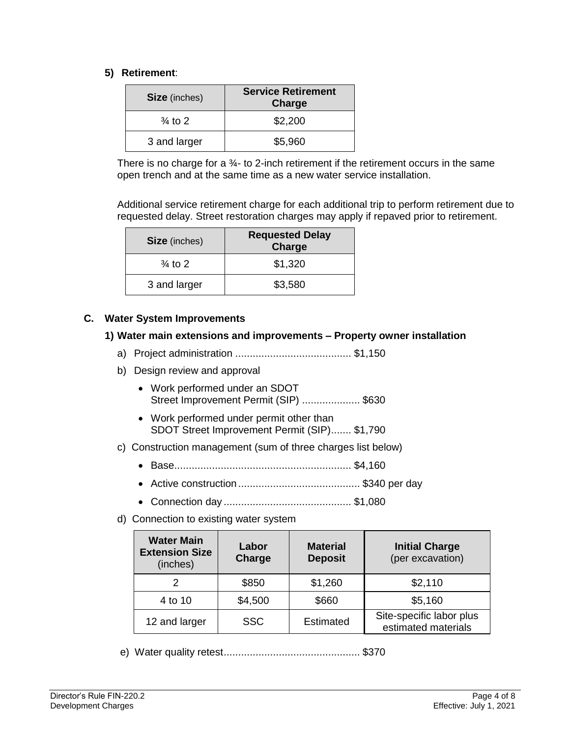### **5) Retirement**:

| <b>Size</b> (inches) | <b>Service Retirement</b><br>Charge |
|----------------------|-------------------------------------|
| $\frac{3}{4}$ to 2   | \$2,200                             |
| 3 and larger         | \$5,960                             |

There is no charge for a  $\frac{3}{4}$ - to 2-inch retirement if the retirement occurs in the same open trench and at the same time as a new water service installation.

Additional service retirement charge for each additional trip to perform retirement due to requested delay. Street restoration charges may apply if repaved prior to retirement.

| <b>Size</b> (inches) | <b>Requested Delay</b><br>Charge |
|----------------------|----------------------------------|
| $\frac{3}{4}$ to 2   | \$1,320                          |
| 3 and larger         | \$3,580                          |

## **C. Water System Improvements**

#### **1) Water main extensions and improvements – Property owner installation**

- a) Project administration ........................................ \$1,150
- b) Design review and approval
	- Work performed under an SDOT Street Improvement Permit (SIP) .................... \$630
	- Work performed under permit other than SDOT Street Improvement Permit (SIP)....... \$1,790
- c) Construction management (sum of three charges list below)
	- Base............................................................. \$4,160
	- Active construction.......................................... \$340 per day
	- Connection day ............................................ \$1,080
- d) Connection to existing water system

| <b>Water Main</b><br><b>Extension Size</b><br>(inches) | Labor<br>Charge | <b>Material</b><br><b>Deposit</b> | <b>Initial Charge</b><br>(per excavation)       |
|--------------------------------------------------------|-----------------|-----------------------------------|-------------------------------------------------|
| 2                                                      | \$850           | \$1,260                           | \$2,110                                         |
| 4 to 10                                                | \$4,500         | \$660                             | \$5,160                                         |
| 12 and larger                                          | <b>SSC</b>      | Estimated                         | Site-specific labor plus<br>estimated materials |

e) Water quality retest............................................... \$370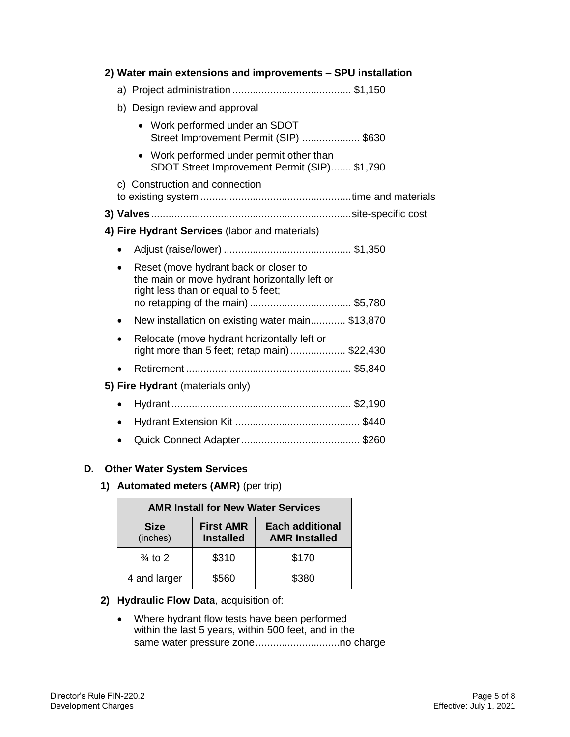| 2) Water main extensions and improvements - SPU installation                                                                       |
|------------------------------------------------------------------------------------------------------------------------------------|
|                                                                                                                                    |
| b) Design review and approval                                                                                                      |
| • Work performed under an SDOT<br>Street Improvement Permit (SIP)  \$630                                                           |
| Work performed under permit other than<br>SDOT Street Improvement Permit (SIP) \$1,790                                             |
| c) Construction and connection                                                                                                     |
|                                                                                                                                    |
| 4) Fire Hydrant Services (labor and materials)                                                                                     |
|                                                                                                                                    |
| Reset (move hydrant back or closer to<br>٠<br>the main or move hydrant horizontally left or<br>right less than or equal to 5 feet; |
| New installation on existing water main \$13,870<br>٠                                                                              |
| Relocate (move hydrant horizontally left or<br>right more than 5 feet; retap main)\$22,430                                         |
|                                                                                                                                    |
| 5) Fire Hydrant (materials only)                                                                                                   |
| $\bullet$                                                                                                                          |
| ٠                                                                                                                                  |
|                                                                                                                                    |
|                                                                                                                                    |

# **D. Other Water System Services**

# **1) Automated meters (AMR)** (per trip)

| <b>AMR Install for New Water Services</b> |                                      |                                                |  |
|-------------------------------------------|--------------------------------------|------------------------------------------------|--|
| <b>Size</b><br>(inches)                   | <b>First AMR</b><br><b>Installed</b> | <b>Each additional</b><br><b>AMR Installed</b> |  |
| $\frac{3}{4}$ to 2                        | \$310                                | \$170                                          |  |
| 4 and larger                              | \$560                                | \$380                                          |  |

# **2) Hydraulic Flow Data**, acquisition of:

 Where hydrant flow tests have been performed within the last 5 years, within 500 feet, and in the same water pressure zone.............................no charge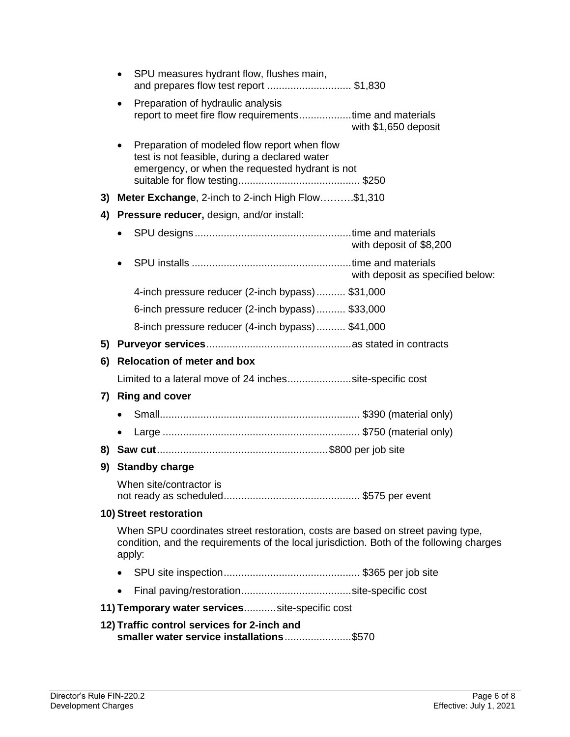|    | $\bullet$ | SPU measures hydrant flow, flushes main,<br>and prepares flow test report \$1,830                                                                                                     |                                  |
|----|-----------|---------------------------------------------------------------------------------------------------------------------------------------------------------------------------------------|----------------------------------|
|    | $\bullet$ | Preparation of hydraulic analysis<br>report to meet fire flow requirementstime and materials                                                                                          | with \$1,650 deposit             |
|    |           | Preparation of modeled flow report when flow<br>test is not feasible, during a declared water<br>emergency, or when the requested hydrant is not                                      |                                  |
| 3) |           | Meter Exchange, 2-inch to 2-inch High Flow\$1,310                                                                                                                                     |                                  |
| 4) |           | <b>Pressure reducer, design, and/or install:</b>                                                                                                                                      |                                  |
|    |           |                                                                                                                                                                                       | with deposit of \$8,200          |
|    |           |                                                                                                                                                                                       | with deposit as specified below: |
|    |           | 4-inch pressure reducer (2-inch bypass) \$31,000                                                                                                                                      |                                  |
|    |           | 6-inch pressure reducer (2-inch bypass) \$33,000                                                                                                                                      |                                  |
|    |           | 8-inch pressure reducer (4-inch bypass) \$41,000                                                                                                                                      |                                  |
|    |           |                                                                                                                                                                                       |                                  |
|    |           |                                                                                                                                                                                       |                                  |
| 6) |           | <b>Relocation of meter and box</b>                                                                                                                                                    |                                  |
|    |           | Limited to a lateral move of 24 inchessite-specific cost                                                                                                                              |                                  |
|    |           | 7) Ring and cover                                                                                                                                                                     |                                  |
|    |           |                                                                                                                                                                                       |                                  |
|    |           |                                                                                                                                                                                       |                                  |
|    |           |                                                                                                                                                                                       |                                  |
|    |           | 9) Standby charge                                                                                                                                                                     |                                  |
|    |           | When site/contractor is                                                                                                                                                               |                                  |
|    |           | 10) Street restoration                                                                                                                                                                |                                  |
|    |           | When SPU coordinates street restoration, costs are based on street paving type,<br>condition, and the requirements of the local jurisdiction. Both of the following charges<br>apply: |                                  |
|    |           |                                                                                                                                                                                       |                                  |
|    |           |                                                                                                                                                                                       |                                  |
|    |           | 11) Temporary water services site-specific cost                                                                                                                                       |                                  |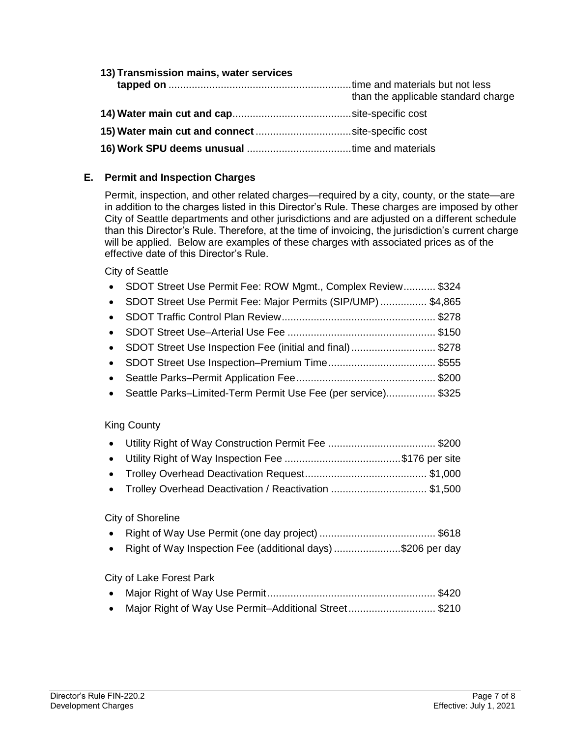| 13) Transmission mains, water services |                                     |
|----------------------------------------|-------------------------------------|
|                                        | than the applicable standard charge |
|                                        |                                     |
|                                        |                                     |
|                                        |                                     |

## **E. Permit and Inspection Charges**

Permit, inspection, and other related charges—required by a city, county, or the state—are in addition to the charges listed in this Director's Rule. These charges are imposed by other City of Seattle departments and other jurisdictions and are adjusted on a different schedule than this Director's Rule. Therefore, at the time of invoicing, the jurisdiction's current charge will be applied. Below are examples of these charges with associated prices as of the effective date of this Director's Rule.

City of Seattle

| • SDOT Street Use Permit Fee: ROW Mgmt., Complex Review \$324   |  |
|-----------------------------------------------------------------|--|
| • SDOT Street Use Permit Fee: Major Permits (SIP/UMP)  \$4,865  |  |
|                                                                 |  |
|                                                                 |  |
| • SDOT Street Use Inspection Fee (initial and final) \$278      |  |
|                                                                 |  |
|                                                                 |  |
| • Seattle Parks-Limited-Term Permit Use Fee (per service) \$325 |  |

### King County

| • Trolley Overhead Deactivation / Reactivation  \$1.500 |  |
|---------------------------------------------------------|--|
|                                                         |  |

### City of Shoreline

|--|--|--|--|

• Right of Way Inspection Fee (additional days) ......................\$206 per day

City of Lake Forest Park

| • Major Right of Way Use Permit-Additional Street\$210 |  |
|--------------------------------------------------------|--|